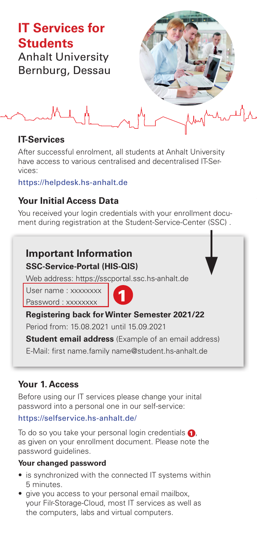# **IT Services for Students**

Anhalt University Bernburg, Dessau



**IT-Services** 

After successful enrolment, all students at Anhalt University have access to various centralised and decentralised IT-Services:

https://helpdesk.hs-anhalt.de

# **Your Initial Access Data**

You received your login credentials with your enrollment document during registration at the Student-Service-Center (SSC) .

# **Important Information**

## **SSC-Service-Portal (HIS-QIS)**

Web address: https://sscportal.ssc.hs-anhalt.de

User name: xxxxxxxx Password : xxxxxxxx



## **Registering back for Winter Semester 2021/22**

Period from: 15.08.2021 until 15.09.2021

**Student email address** (Example of an email address)

E-Mail: first name family name@student hs-anhalt de

# **Your 1. Access**

Before using our IT services please change your inital password into a personal one in our self-service:

## https://selfservice.hs-anhalt.de/

To do so you take your personal login credentials  $\bigcap$ . as given on your enrollment document. Please note the password guidelines.

## **Your changed password**

- is synchronized with the connected IT systems within 5 minutes.
- give you access to your personal email mailbox, your Filr-Storage-Cloud, most IT services as well as the computers, labs and virtual computers.